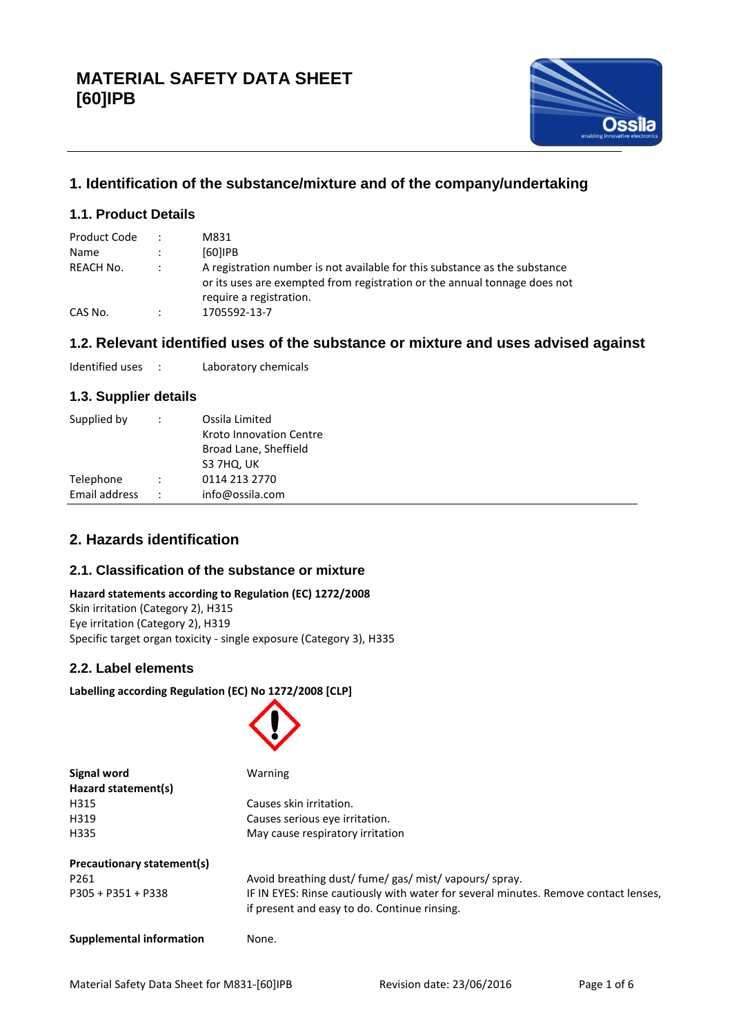

# **1. Identification of the substance/mixture and of the company/undertaking**

## **1.1. Product Details**

| Product Code<br>Name | $\ddot{\phantom{0}}$ | M831<br>$[60]$ IPB                                                                                                                                                                 |
|----------------------|----------------------|------------------------------------------------------------------------------------------------------------------------------------------------------------------------------------|
|                      |                      |                                                                                                                                                                                    |
| REACH No.            |                      | A registration number is not available for this substance as the substance<br>or its uses are exempted from registration or the annual tonnage does not<br>require a registration. |
| CAS No.              | $\ddot{\cdot}$       | 1705592-13-7                                                                                                                                                                       |

## **1.2. Relevant identified uses of the substance or mixture and uses advised against**

Identified uses : Laboratory chemicals

## **1.3. Supplier details**

| Supplied by   | $\ddot{\phantom{0}}$ | Ossila Limited<br>Kroto Innovation Centre<br>Broad Lane, Sheffield<br>S3 7HQ, UK |
|---------------|----------------------|----------------------------------------------------------------------------------|
| Telephone     | $\mathbb{R}^n$       | 0114 213 2770                                                                    |
| Email address | $-1.11$              | info@ossila.com                                                                  |
|               |                      |                                                                                  |

## **2. Hazards identification**

## **2.1. Classification of the substance or mixture**

#### **Hazard statements according to Regulation (EC) 1272/2008** Skin irritation (Category 2), H315

Eye irritation (Category 2), H319 Specific target organ toxicity - single exposure (Category 3), H335

## **2.2. Label elements**

**Labelling according Regulation (EC) No 1272/2008 [CLP]**



| Hazard statement(s)        |                                                                                                                                     |  |  |
|----------------------------|-------------------------------------------------------------------------------------------------------------------------------------|--|--|
| H315                       | Causes skin irritation.                                                                                                             |  |  |
| H319                       | Causes serious eye irritation.                                                                                                      |  |  |
| H335                       | May cause respiratory irritation                                                                                                    |  |  |
| Precautionary statement(s) |                                                                                                                                     |  |  |
| P261                       | Avoid breathing dust/ fume/ gas/ mist/ vapours/ spray.                                                                              |  |  |
| P305 + P351 + P338         | IF IN EYES: Rinse cautiously with water for several minutes. Remove contact lenses,<br>if present and easy to do. Continue rinsing. |  |  |
|                            |                                                                                                                                     |  |  |

**Supplemental information** None.

**Signal word** Warning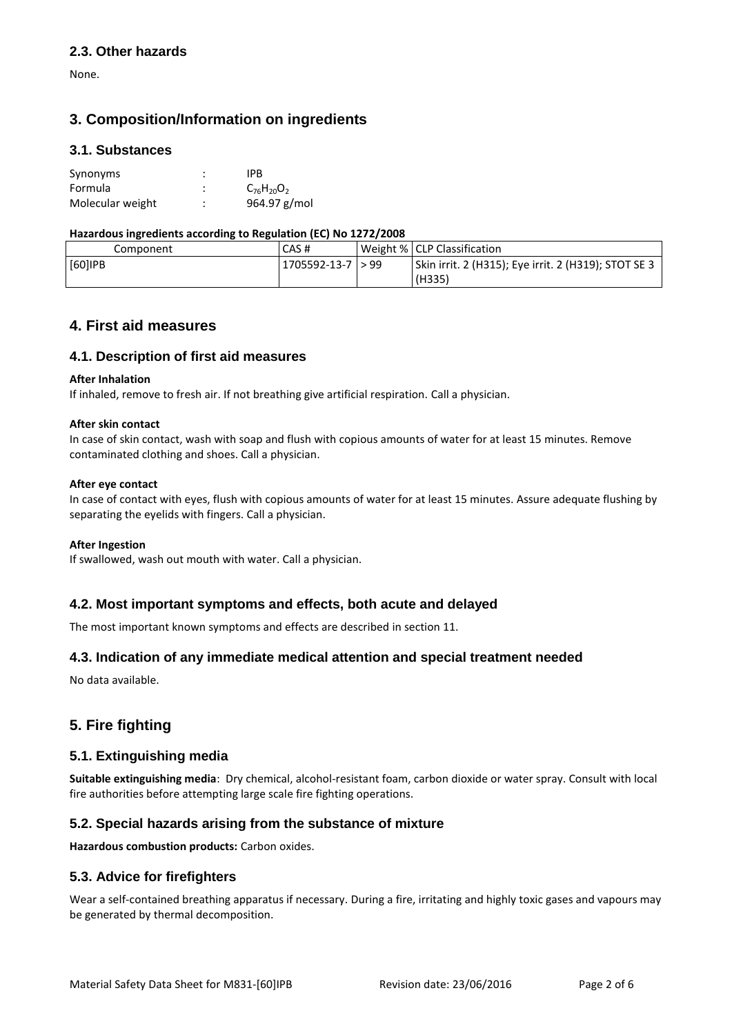### **2.3. Other hazards**

None.

# **3. Composition/Information on ingredients**

#### **3.1. Substances**

| Synonyms         | ٠      | IPB               |
|------------------|--------|-------------------|
| Formula          | ٠<br>٠ | $C_{76}H_{20}O_2$ |
| Molecular weight | ٠<br>٠ | 964.97 g/mol      |

#### **Hazardous ingredients according to Regulation (EC) No 1272/2008**

| Component | CAS#                    | Weight %   CLP Classification                                  |
|-----------|-------------------------|----------------------------------------------------------------|
| [60]IPB   | $1705592 - 13 - 7 > 99$ | Skin irrit. 2 (H315); Eye irrit. 2 (H319); STOT SE 3<br>(H335) |

## **4. First aid measures**

#### **4.1. Description of first aid measures**

#### **After Inhalation**

If inhaled, remove to fresh air. If not breathing give artificial respiration. Call a physician.

#### **After skin contact**

In case of skin contact, wash with soap and flush with copious amounts of water for at least 15 minutes. Remove contaminated clothing and shoes. Call a physician.

#### **After eye contact**

In case of contact with eyes, flush with copious amounts of water for at least 15 minutes. Assure adequate flushing by separating the eyelids with fingers. Call a physician.

#### **After Ingestion**

If swallowed, wash out mouth with water. Call a physician.

#### **4.2. Most important symptoms and effects, both acute and delayed**

The most important known symptoms and effects are described in section 11.

## **4.3. Indication of any immediate medical attention and special treatment needed**

No data available.

# **5. Fire fighting**

#### **5.1. Extinguishing media**

**Suitable extinguishing media**: Dry chemical, alcohol-resistant foam, carbon dioxide or water spray. Consult with local fire authorities before attempting large scale fire fighting operations.

## **5.2. Special hazards arising from the substance of mixture**

**Hazardous combustion products:** Carbon oxides.

#### **5.3. Advice for firefighters**

Wear a self-contained breathing apparatus if necessary. During a fire, irritating and highly toxic gases and vapours may be generated by thermal decomposition.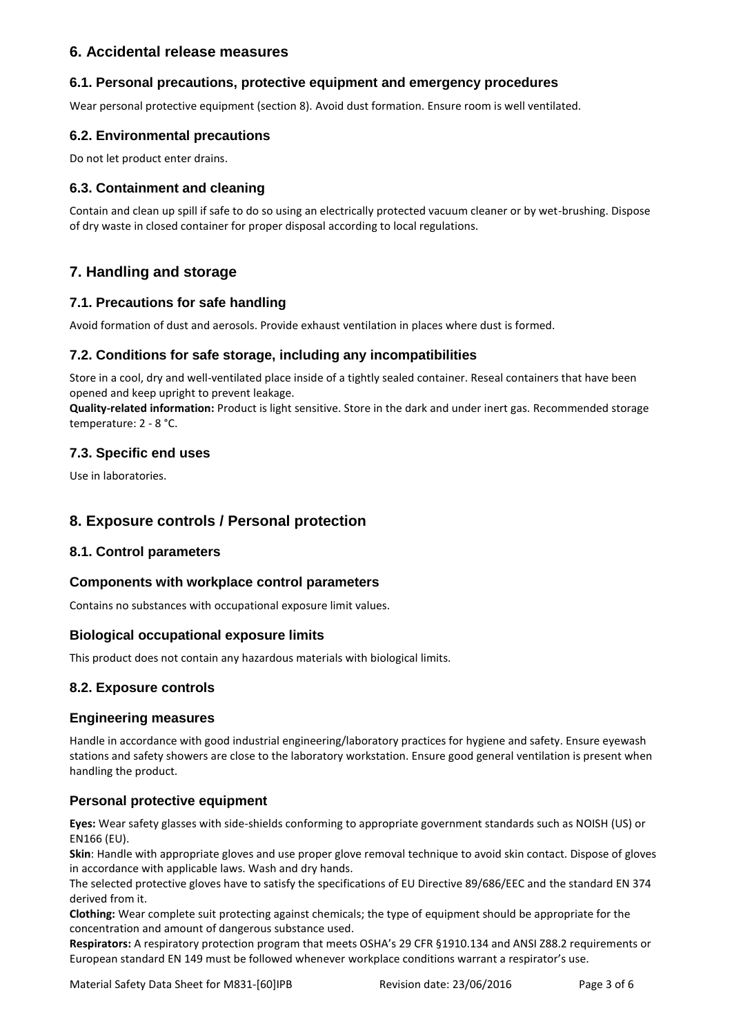## **6. Accidental release measures**

### **6.1. Personal precautions, protective equipment and emergency procedures**

Wear personal protective equipment (section 8). Avoid dust formation. Ensure room is well ventilated.

### **6.2. Environmental precautions**

Do not let product enter drains.

### **6.3. Containment and cleaning**

Contain and clean up spill if safe to do so using an electrically protected vacuum cleaner or by wet-brushing. Dispose of dry waste in closed container for proper disposal according to local regulations.

# **7. Handling and storage**

### **7.1. Precautions for safe handling**

Avoid formation of dust and aerosols. Provide exhaust ventilation in places where dust is formed.

#### **7.2. Conditions for safe storage, including any incompatibilities**

Store in a cool, dry and well-ventilated place inside of a tightly sealed container. Reseal containers that have been opened and keep upright to prevent leakage.

**Quality-related information:** Product is light sensitive. Store in the dark and under inert gas. Recommended storage temperature: 2 - 8 °C.

#### **7.3. Specific end uses**

Use in laboratories.

## **8. Exposure controls / Personal protection**

#### **8.1. Control parameters**

#### **Components with workplace control parameters**

Contains no substances with occupational exposure limit values.

## **Biological occupational exposure limits**

This product does not contain any hazardous materials with biological limits.

## **8.2. Exposure controls**

#### **Engineering measures**

Handle in accordance with good industrial engineering/laboratory practices for hygiene and safety. Ensure eyewash stations and safety showers are close to the laboratory workstation. Ensure good general ventilation is present when handling the product.

## **Personal protective equipment**

**Eyes:** Wear safety glasses with side-shields conforming to appropriate government standards such as NOISH (US) or EN166 (EU).

**Skin**: Handle with appropriate gloves and use proper glove removal technique to avoid skin contact. Dispose of gloves in accordance with applicable laws. Wash and dry hands.

The selected protective gloves have to satisfy the specifications of EU Directive 89/686/EEC and the standard EN 374 derived from it.

**Clothing:** Wear complete suit protecting against chemicals; the type of equipment should be appropriate for the concentration and amount of dangerous substance used.

**Respirators:** A respiratory protection program that meets OSHA's 29 CFR §1910.134 and ANSI Z88.2 requirements or European standard EN 149 must be followed whenever workplace conditions warrant a respirator's use.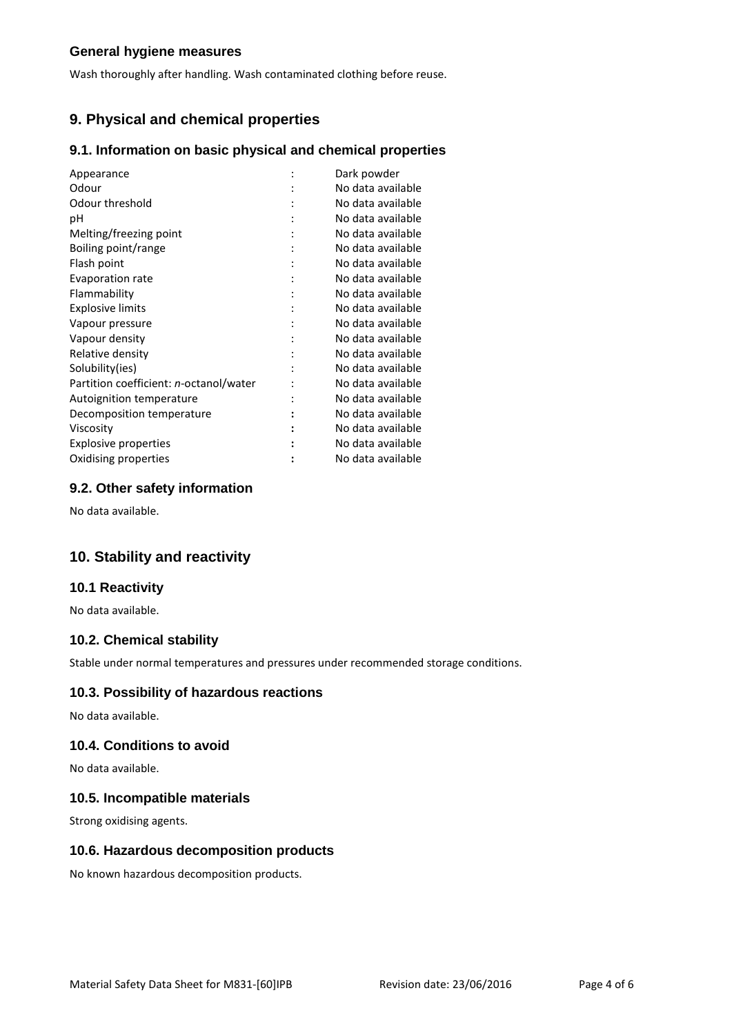### **General hygiene measures**

Wash thoroughly after handling. Wash contaminated clothing before reuse.

# **9. Physical and chemical properties**

#### **9.1. Information on basic physical and chemical properties**

| Appearance                             |   | Dark powder       |
|----------------------------------------|---|-------------------|
| Odour                                  |   | No data available |
| Odour threshold                        |   | No data available |
| рH                                     |   | No data available |
| Melting/freezing point                 |   | No data available |
| Boiling point/range                    |   | No data available |
| Flash point                            |   | No data available |
| Evaporation rate                       | ٠ | No data available |
| Flammability                           |   | No data available |
| <b>Explosive limits</b>                |   | No data available |
| Vapour pressure                        |   | No data available |
| Vapour density                         |   | No data available |
| Relative density                       |   | No data available |
| Solubility(ies)                        |   | No data available |
| Partition coefficient: n-octanol/water |   | No data available |
| Autoignition temperature               |   | No data available |
| Decomposition temperature              |   | No data available |
| Viscosity                              |   | No data available |
| Explosive properties                   |   | No data available |
| Oxidising properties                   |   | No data available |

### **9.2. Other safety information**

No data available.

# **10. Stability and reactivity**

#### **10.1 Reactivity**

No data available.

### **10.2. Chemical stability**

Stable under normal temperatures and pressures under recommended storage conditions.

#### **10.3. Possibility of hazardous reactions**

No data available.

#### **10.4. Conditions to avoid**

No data available.

#### **10.5. Incompatible materials**

Strong oxidising agents.

### **10.6. Hazardous decomposition products**

No known hazardous decomposition products.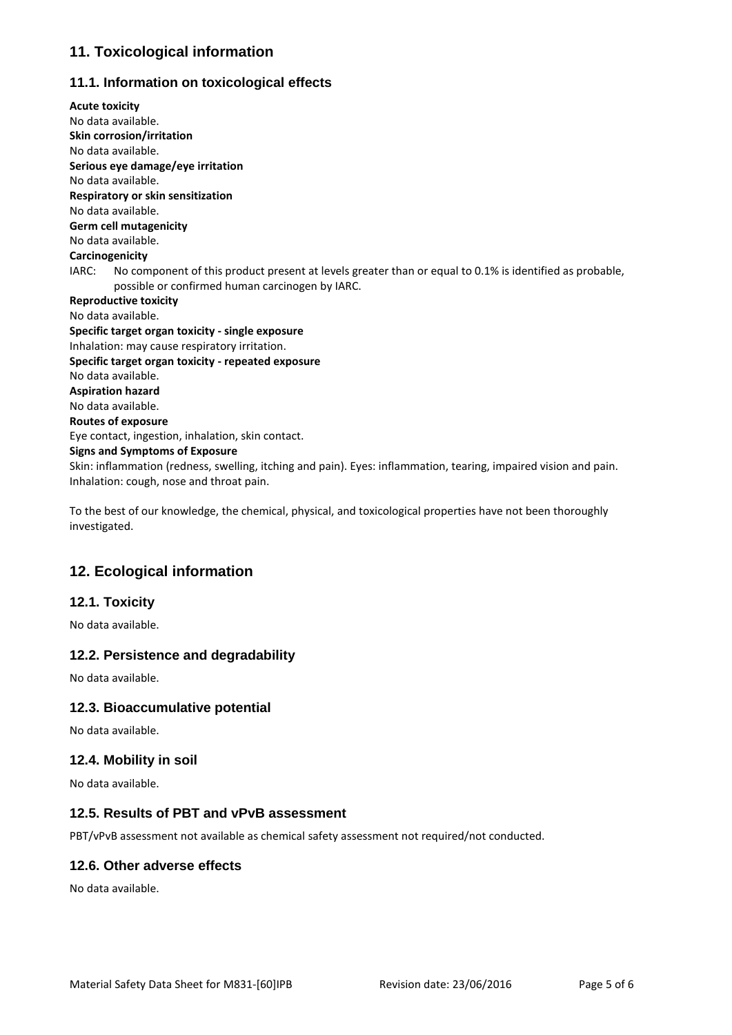# **11. Toxicological information**

## **11.1. Information on toxicological effects**

**Acute toxicity** No data available. **Skin corrosion/irritation** No data available. **Serious eye damage/eye irritation** No data available. **Respiratory or skin sensitization** No data available. **Germ cell mutagenicity** No data available. **Carcinogenicity** IARC: No component of this product present at levels greater than or equal to 0.1% is identified as probable, possible or confirmed human carcinogen by IARC. **Reproductive toxicity** No data available. **Specific target organ toxicity - single exposure** Inhalation: may cause respiratory irritation. **Specific target organ toxicity - repeated exposure** No data available. **Aspiration hazard** No data available. **Routes of exposure** Eye contact, ingestion, inhalation, skin contact. **Signs and Symptoms of Exposure** Skin: inflammation (redness, swelling, itching and pain). Eyes: inflammation, tearing, impaired vision and pain. Inhalation: cough, nose and throat pain.

To the best of our knowledge, the chemical, physical, and toxicological properties have not been thoroughly investigated.

# **12. Ecological information**

## **12.1. Toxicity**

No data available.

#### **12.2. Persistence and degradability**

No data available.

#### **12.3. Bioaccumulative potential**

No data available.

#### **12.4. Mobility in soil**

No data available.

#### **12.5. Results of PBT and vPvB assessment**

PBT/vPvB assessment not available as chemical safety assessment not required/not conducted.

#### **12.6. Other adverse effects**

No data available.